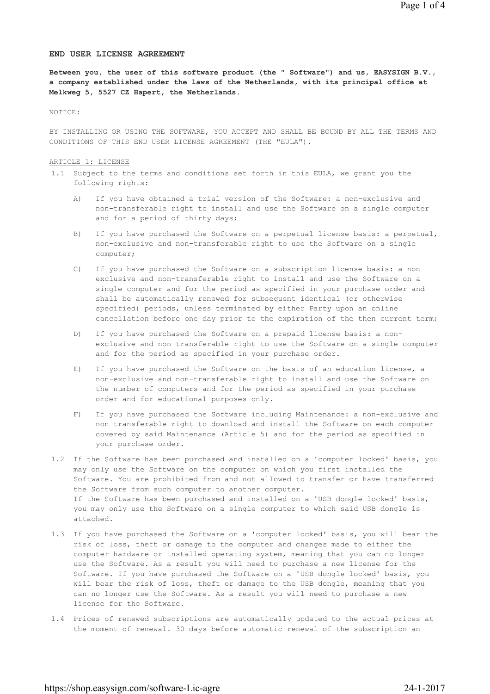### **END USER LICENSE AGREEMENT**

**Between you, the user of this software product (the " Software") and us, EASYSIGN B.V., a company established under the laws of the Netherlands, with its principal office at Melkweg 5, 5527 CZ Hapert, the Netherlands.**

## NOTICE:

BY INSTALLING OR USING THE SOFTWARE, YOU ACCEPT AND SHALL BE BOUND BY ALL THE TERMS AND CONDITIONS OF THIS END USER LICENSE AGREEMENT (THE "EULA").

### ARTICLE 1: LICENSE

- 1.1 Subject to the terms and conditions set forth in this EULA, we grant you the following rights:
	- A) If you have obtained a trial version of the Software: a non-exclusive and non-transferable right to install and use the Software on a single computer and for a period of thirty days;
	- B) If you have purchased the Software on a perpetual license basis: a perpetual, non-exclusive and non-transferable right to use the Software on a single computer;
	- C) If you have purchased the Software on a subscription license basis: a nonexclusive and non-transferable right to install and use the Software on a single computer and for the period as specified in your purchase order and shall be automatically renewed for subsequent identical (or otherwise specified) periods, unless terminated by either Party upon an online cancellation before one day prior to the expiration of the then current term;
	- D) If you have purchased the Software on a prepaid license basis: a nonexclusive and non-transferable right to use the Software on a single computer and for the period as specified in your purchase order.
	- E) If you have purchased the Software on the basis of an education license, a non-exclusive and non-transferable right to install and use the Software on the number of computers and for the period as specified in your purchase order and for educational purposes only.
	- F) If you have purchased the Software including Maintenance: a non-exclusive and non-transferable right to download and install the Software on each computer covered by said Maintenance (Article 5) and for the period as specified in your purchase order.
- 1.2 If the Software has been purchased and installed on a 'computer locked' basis, you may only use the Software on the computer on which you first installed the Software. You are prohibited from and not allowed to transfer or have transferred the Software from such computer to another computer. If the Software has been purchased and installed on a 'USB dongle locked' basis, you may only use the Software on a single computer to which said USB dongle is attached.
- 1.3 If you have purchased the Software on a 'computer locked' basis, you will bear the risk of loss, theft or damage to the computer and changes made to either the computer hardware or installed operating system, meaning that you can no longer use the Software. As a result you will need to purchase a new license for the Software. If you have purchased the Software on a 'USB dongle locked' basis, you will bear the risk of loss, theft or damage to the USB dongle, meaning that you can no longer use the Software. As a result you will need to purchase a new license for the Software.
- 1.4 Prices of renewed subscriptions are automatically updated to the actual prices at the moment of renewal. 30 days before automatic renewal of the subscription an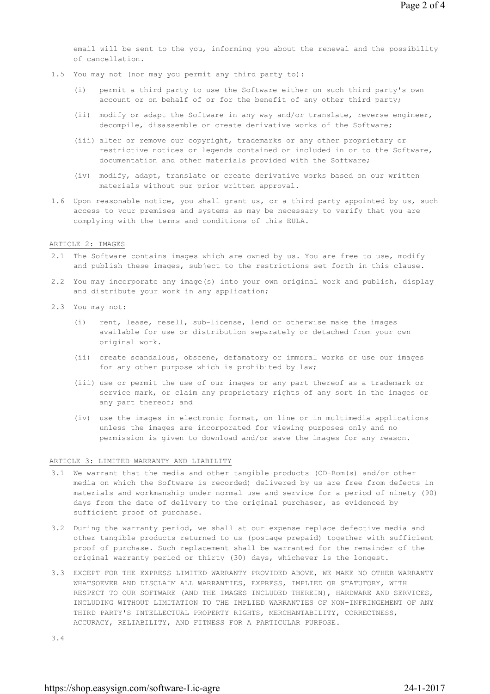email will be sent to the you, informing you about the renewal and the possibility of cancellation.

- 1.5 You may not (nor may you permit any third party to):
	- (i) permit a third party to use the Software either on such third party's own account or on behalf of or for the benefit of any other third party;
	- (ii) modify or adapt the Software in any way and/or translate, reverse engineer, decompile, disassemble or create derivative works of the Software;
	- (iii) alter or remove our copyright, trademarks or any other proprietary or restrictive notices or legends contained or included in or to the Software, documentation and other materials provided with the Software;
	- (iv) modify, adapt, translate or create derivative works based on our written materials without our prior written approval.
- 1.6 Upon reasonable notice, you shall grant us, or a third party appointed by us, such access to your premises and systems as may be necessary to verify that you are complying with the terms and conditions of this EULA.

### ARTICLE 2: IMAGES

- 2.1 The Software contains images which are owned by us. You are free to use, modify and publish these images, subject to the restrictions set forth in this clause.
- 2.2 You may incorporate any image(s) into your own original work and publish, display and distribute your work in any application;
- 2.3 You may not:
	- (i) rent, lease, resell, sub-license, lend or otherwise make the images available for use or distribution separately or detached from your own original work.
	- (ii) create scandalous, obscene, defamatory or immoral works or use our images for any other purpose which is prohibited by law;
	- (iii) use or permit the use of our images or any part thereof as a trademark or service mark, or claim any proprietary rights of any sort in the images or any part thereof; and
	- (iv) use the images in electronic format, on-line or in multimedia applications unless the images are incorporated for viewing purposes only and no permission is given to download and/or save the images for any reason.

### ARTICLE 3: LIMITED WARRANTY AND LIABILITY

- 3.1 We warrant that the media and other tangible products (CD-Rom(s) and/or other media on which the Software is recorded) delivered by us are free from defects in materials and workmanship under normal use and service for a period of ninety (90) days from the date of delivery to the original purchaser, as evidenced by sufficient proof of purchase.
- 3.2 During the warranty period, we shall at our expense replace defective media and other tangible products returned to us (postage prepaid) together with sufficient proof of purchase. Such replacement shall be warranted for the remainder of the original warranty period or thirty (30) days, whichever is the longest.
- 3.3 EXCEPT FOR THE EXPRESS LIMITED WARRANTY PROVIDED ABOVE, WE MAKE NO OTHER WARRANTY WHATSOEVER AND DISCLAIM ALL WARRANTIES, EXPRESS, IMPLIED OR STATUTORY, WITH RESPECT TO OUR SOFTWARE (AND THE IMAGES INCLUDED THEREIN), HARDWARE AND SERVICES, INCLUDING WITHOUT LIMITATION TO THE IMPLIED WARRANTIES OF NON-INFRINGEMENT OF ANY THIRD PARTY'S INTELLECTUAL PROPERTY RIGHTS, MERCHANTABILITY, CORRECTNESS, ACCURACY, RELIABILITY, AND FITNESS FOR A PARTICULAR PURPOSE.

3.4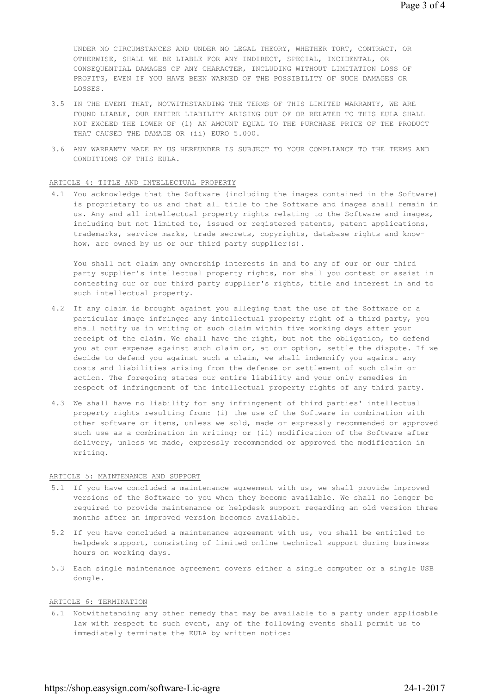UNDER NO CIRCUMSTANCES AND UNDER NO LEGAL THEORY, WHETHER TORT, CONTRACT, OR OTHERWISE, SHALL WE BE LIABLE FOR ANY INDIRECT, SPECIAL, INCIDENTAL, OR CONSEQUENTIAL DAMAGES OF ANY CHARACTER, INCLUDING WITHOUT LIMITATION LOSS OF PROFITS, EVEN IF YOU HAVE BEEN WARNED OF THE POSSIBILITY OF SUCH DAMAGES OR LOSSES.

- 3.5 IN THE EVENT THAT, NOTWITHSTANDING THE TERMS OF THIS LIMITED WARRANTY, WE ARE FOUND LIABLE, OUR ENTIRE LIABILITY ARISING OUT OF OR RELATED TO THIS EULA SHALL NOT EXCEED THE LOWER OF (i) AN AMOUNT EQUAL TO THE PURCHASE PRICE OF THE PRODUCT THAT CAUSED THE DAMAGE OR (ii) EURO 5.000.
- 3.6 ANY WARRANTY MADE BY US HEREUNDER IS SUBJECT TO YOUR COMPLIANCE TO THE TERMS AND CONDITIONS OF THIS EULA.

#### ARTICLE 4: TITLE AND INTELLECTUAL PROPERTY

4.1 You acknowledge that the Software (including the images contained in the Software) is proprietary to us and that all title to the Software and images shall remain in us. Any and all intellectual property rights relating to the Software and images, including but not limited to, issued or registered patents, patent applications, trademarks, service marks, trade secrets, copyrights, database rights and knowhow, are owned by us or our third party supplier(s).

You shall not claim any ownership interests in and to any of our or our third party supplier's intellectual property rights, nor shall you contest or assist in contesting our or our third party supplier's rights, title and interest in and to such intellectual property.

- 4.2 If any claim is brought against you alleging that the use of the Software or a particular image infringes any intellectual property right of a third party, you shall notify us in writing of such claim within five working days after your receipt of the claim. We shall have the right, but not the obligation, to defend you at our expense against such claim or, at our option, settle the dispute. If we decide to defend you against such a claim, we shall indemnify you against any costs and liabilities arising from the defense or settlement of such claim or action. The foregoing states our entire liability and your only remedies in respect of infringement of the intellectual property rights of any third party.
- 4.3 We shall have no liability for any infringement of third parties' intellectual property rights resulting from: (i) the use of the Software in combination with other software or items, unless we sold, made or expressly recommended or approved such use as a combination in writing; or (ii) modification of the Software after delivery, unless we made, expressly recommended or approved the modification in writing.

# ARTICLE 5: MAINTENANCE AND SUPPORT

- 5.1 If you have concluded a maintenance agreement with us, we shall provide improved versions of the Software to you when they become available. We shall no longer be required to provide maintenance or helpdesk support regarding an old version three months after an improved version becomes available.
- 5.2 If you have concluded a maintenance agreement with us, you shall be entitled to helpdesk support, consisting of limited online technical support during business hours on working days.
- 5.3 Each single maintenance agreement covers either a single computer or a single USB dongle.

# ARTICLE 6: TERMINATION

6.1 Notwithstanding any other remedy that may be available to a party under applicable law with respect to such event, any of the following events shall permit us to immediately terminate the EULA by written notice: